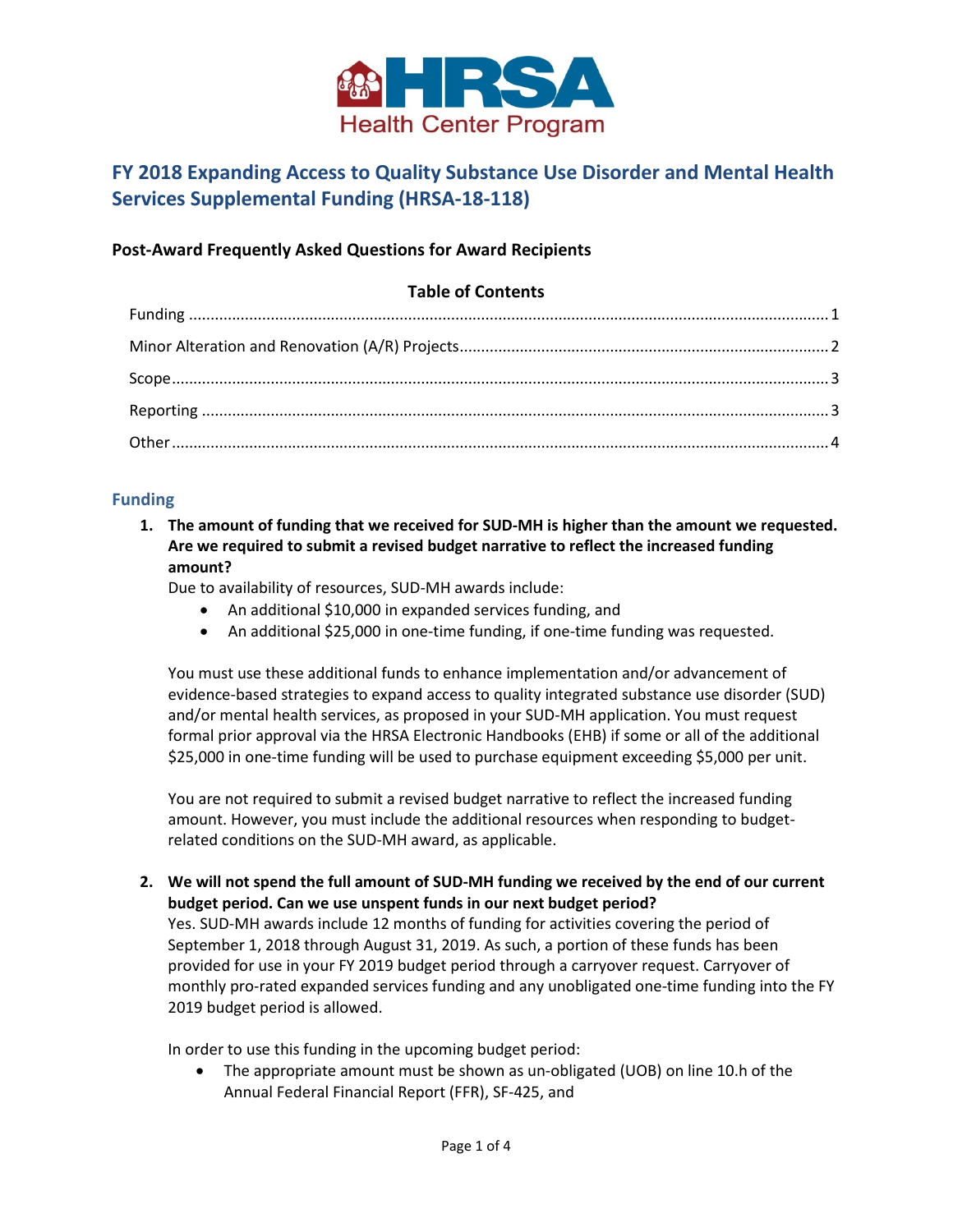

# **FY 2018 Expanding Access to Quality Substance Use Disorder and Mental Health Services Supplemental Funding (HRSA-18-118)**

# **Post-Award Frequently Asked Questions for Award Recipients**

# **Table of Contents** Funding [..................................................................................................................................................... 1](#page-0-0)  [Minor Alteration and Renovation \(A/R\) Projects...................................................................................... 2](#page-1-0)  [Scope......................................................................................................................................................... 3](#page-2-0)

Reporting [.................................................................................................................................................. 3](#page-2-1)  [Other......................................................................................................................................................... 4](#page-2-2) 

# <span id="page-0-0"></span>**Funding**

**1. The amount of funding that we received for SUD-MH is higher than the amount we requested. Are we required to submit a revised budget narrative to reflect the increased funding amount?** 

Due to availability of resources, SUD-MH awards include:

- An additional \$10,000 in expanded services funding, and
- An additional \$25,000 in one-time funding, if one-time funding was requested.

You must use these additional funds to enhance implementation and/or advancement of evidence-based strategies to expand access to quality integrated substance use disorder (SUD) and/or mental health services, as proposed in your SUD-MH application. You must request formal prior approval via the HRSA Electronic Handbooks (EHB) if some or all of the additional \$25,000 in one-time funding will be used to purchase equipment exceeding \$5,000 per unit.

You are not required to submit a revised budget narrative to reflect the increased funding amount. However, you must include the additional resources when responding to budgetrelated conditions on the SUD-MH award, as applicable.

**2. We will not spend the full amount of SUD-MH funding we received by the end of our current budget period. Can we use unspent funds in our next budget period?** 

Yes. SUD-MH awards include 12 months of funding for activities covering the period of September 1, 2018 through August 31, 2019. As such, a portion of these funds has been provided for use in your FY 2019 budget period through a carryover request. Carryover of monthly pro-rated expanded services funding and any unobligated one-time funding into the FY 2019 budget period is allowed.

In order to use this funding in the upcoming budget period:

• The appropriate amount must be shown as un-obligated (UOB) on line 10.h of the Annual Federal Financial Report (FFR), SF-425, and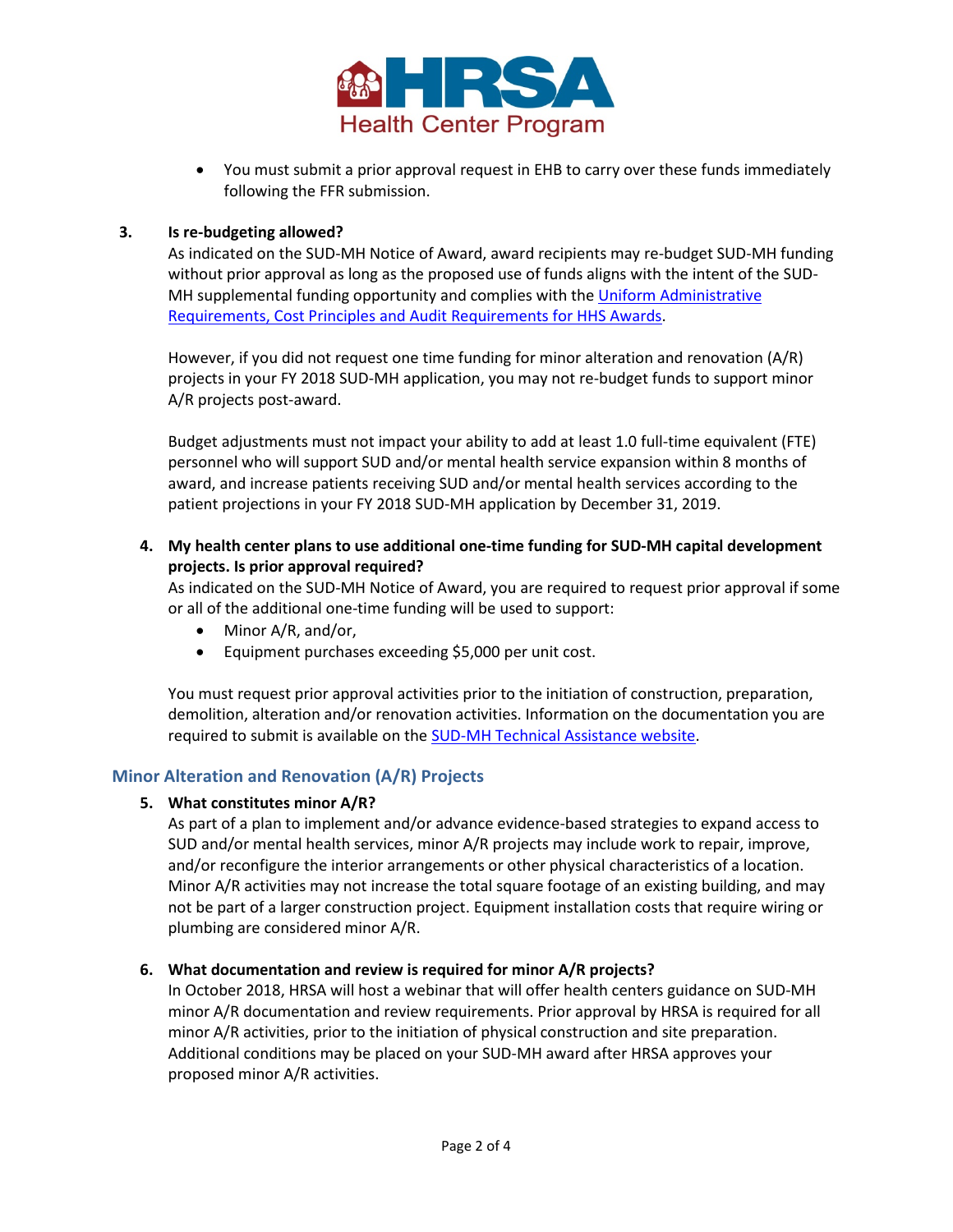

• You must submit a prior approval request in EHB to carry over these funds immediately following the FFR submission.

#### **3. Is re-budgeting allowed?**

As indicated on the SUD-MH Notice of Award, award recipients may re-budget SUD-MH funding without prior approval as long as the proposed use of funds aligns with the intent of the SUD-MH supplemental funding opportunity and complies with th[e Uniform Administrative](https://www.gpo.gov/fdsys/granule/CFR-2016-title45-vol1/CFR-2016-title45-vol1-part75/content-detail.html)  [Requirements, Cost Principles and Audit Requirements for HHS Awards.](https://www.gpo.gov/fdsys/granule/CFR-2016-title45-vol1/CFR-2016-title45-vol1-part75/content-detail.html)

However, if you did not request one time funding for minor alteration and renovation (A/R) projects in your FY 2018 SUD-MH application, you may not re-budget funds to support minor A/R projects post-award.

Budget adjustments must not impact your ability to add at least 1.0 full-time equivalent (FTE) personnel who will support SUD and/or mental health service expansion within 8 months of award, and increase patients receiving SUD and/or mental health services according to the patient projections in your FY 2018 SUD-MH application by December 31, 2019.

**4. My health center plans to use additional one-time funding for SUD-MH capital development projects. Is prior approval required?** 

As indicated on the SUD-MH Notice of Award, you are required to request prior approval if some or all of the additional one-time funding will be used to support:

- Minor A/R, and/or,
- Equipment purchases exceeding \$5,000 per unit cost.

You must request prior approval activities prior to the initiation of construction, preparation, demolition, alteration and/or renovation activities. Information on the documentation you are required to submit is available on the [SUD-MH Technical Assistance website.](https://www.bphc.hrsa.gov/programopportunities/fundingopportunities/sud-mh/)

## <span id="page-1-0"></span>**Minor Alteration and Renovation (A/R) Projects**

#### **5. What constitutes minor A/R?**

As part of a plan to implement and/or advance evidence-based strategies to expand access to SUD and/or mental health services, minor A/R projects may include work to repair, improve, and/or reconfigure the interior arrangements or other physical characteristics of a location. Minor A/R activities may not increase the total square footage of an existing building, and may not be part of a larger construction project. Equipment installation costs that require wiring or plumbing are considered minor A/R.

#### **6. What documentation and review is required for minor A/R projects?**

In October 2018, HRSA will host a webinar that will offer health centers guidance on SUD-MH minor A/R documentation and review requirements. Prior approval by HRSA is required for all minor A/R activities, prior to the initiation of physical construction and site preparation. Additional conditions may be placed on your SUD-MH award after HRSA approves your proposed minor A/R activities.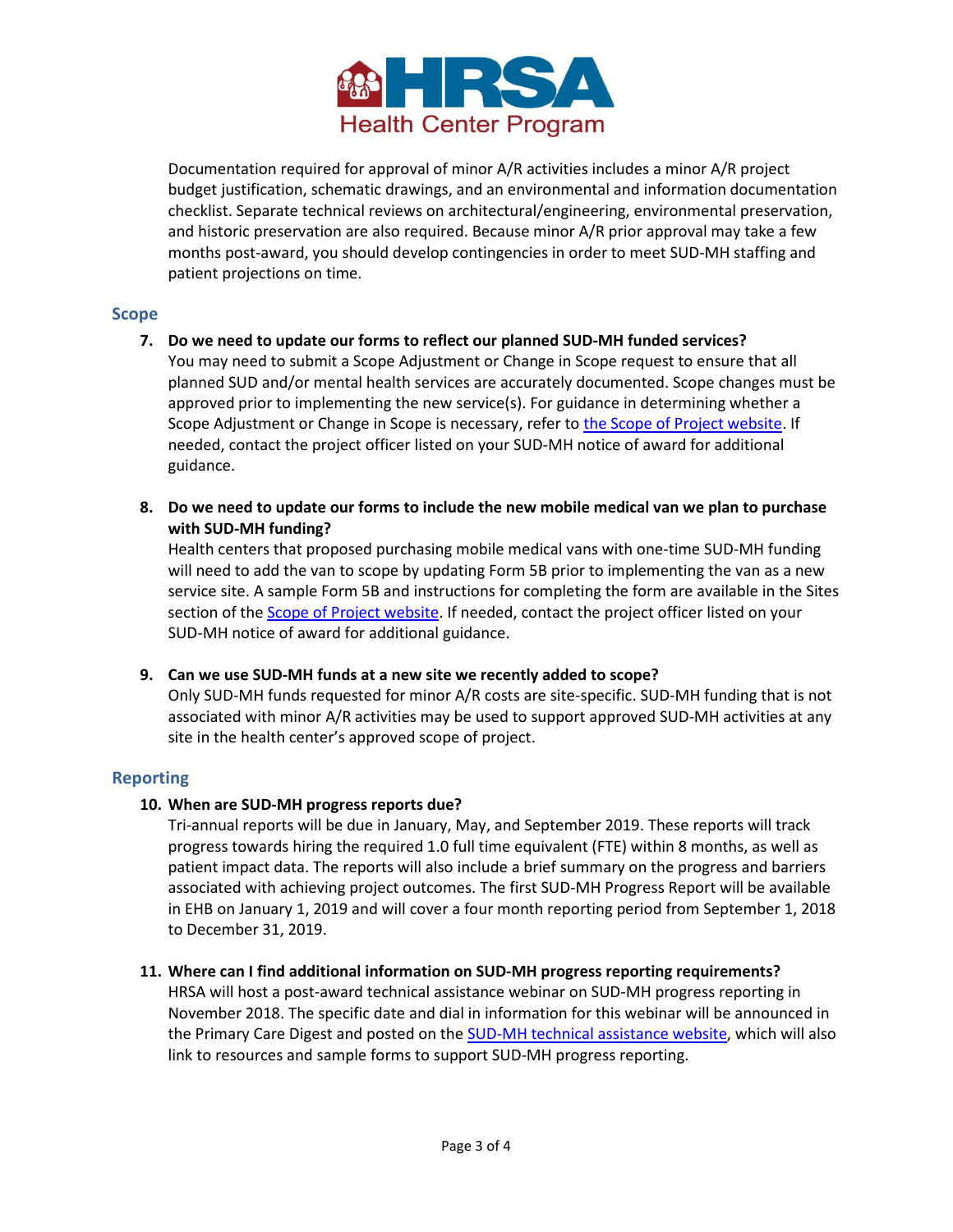

Documentation required for approval of minor A/R activities includes a minor A/R project budget justification, schematic drawings, and an environmental and information documentation checklist. Separate technical reviews on architectural/engineering, environmental preservation, and historic preservation are also required. Because minor A/R prior approval may take a few months post-award, you should develop contingencies in order to meet SUD-MH staffing and patient projections on time.

#### <span id="page-2-0"></span>**Scope**

**7. Do we need to update our forms to reflect our planned SUD-MH funded services?** 

You may need to submit a Scope Adjustment or Change in Scope request to ensure that all planned SUD and/or mental health services are accurately documented. Scope changes must be approved prior to implementing the new service(s). For guidance in determining whether a Scope Adjustment or Change in Scope is necessary, refer to [the Scope of Project website.](https://www.bphc.hrsa.gov/programrequirements/scope.html) If needed, contact the project officer listed on your SUD-MH notice of award for additional guidance.

**8. Do we need to update our forms to include the new mobile medical van we plan to purchase with SUD-MH funding?** 

Health centers that proposed purchasing mobile medical vans with one-time SUD-MH funding will need to add the van to scope by updating Form 5B prior to implementing the van as a new service site. A sample Form 5B and instructions for completing the form are available in the Sites section of the [Scope of Project website.](https://www.bphc.hrsa.gov/programrequirements/scope.html) If needed, contact the project officer listed on your SUD-MH notice of award for additional guidance.

**9. Can we use SUD-MH funds at a new site we recently added to scope?** 

Only SUD-MH funds requested for minor A/R costs are site-specific. SUD-MH funding that is not associated with minor A/R activities may be used to support approved SUD-MH activities at any site in the health center's approved scope of project.

#### <span id="page-2-1"></span>**Reporting**

#### **10. When are SUD-MH progress reports due?**

Tri-annual reports will be due in January, May, and September 2019. These reports will track progress towards hiring the required 1.0 full time equivalent (FTE) within 8 months, as well as patient impact data. The reports will also include a brief summary on the progress and barriers associated with achieving project outcomes. The first SUD-MH Progress Report will be available in EHB on January 1, 2019 and will cover a four month reporting period from September 1, 2018 to December 31, 2019.

#### **11. Where can I find additional information on SUD-MH progress reporting requirements?**

<span id="page-2-2"></span>HRSA will host a post-award technical assistance webinar on SUD-MH progress reporting in November 2018. The specific date and dial in information for this webinar will be announced in the Primary Care Digest and posted on the [SUD-MH technical assistance website,](https://www.bphc.hrsa.gov/programopportunities/fundingopportunities/sud-mh/) which will also link to resources and sample forms to support SUD-MH progress reporting.